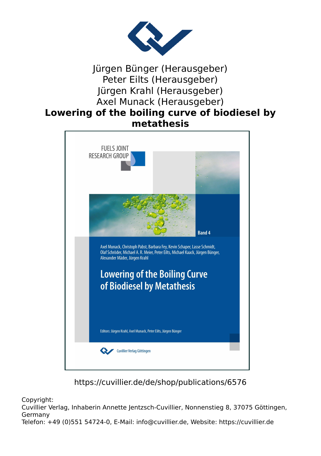

### Jürgen Bünger (Herausgeber) Peter Eilts (Herausgeber) Jürgen Krahl (Herausgeber) Axel Munack (Herausgeber)

### **Lowering of the boiling curve of biodiesel by metathesis**



https://cuvillier.de/de/shop/publications/6576

Copyright:

Cuvillier Verlag, Inhaberin Annette Jentzsch-Cuvillier, Nonnenstieg 8, 37075 Göttingen, Germany

Telefon: +49 (0)551 54724-0, E-Mail: info@cuvillier.de, Website: https://cuvillier.de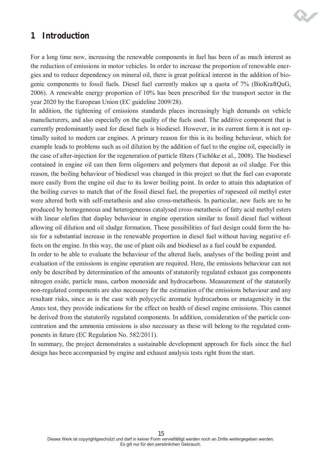

# **1 Introduction**

For a long time now, increasing the renewable components in fuel has been of as much interest as the reduction of emissions in motor vehicles. In order to increase the proportion of renewable energies and to reduce dependency on mineral oil, there is great political interest in the addition of biogenic components to fossil fuels. Diesel fuel currently makes up a quota of 7% (BioKraftQuG, 2006). A renewable energy proportion of 10% has been prescribed for the transport sector in the year 2020 by the European Union (EC guideline 2009/28).

In addition, the tightening of emissions standards places increasingly high demands on vehicle manufacturers, and also especially on the quality of the fuels used. The additive component that is currently predominantly used for diesel fuels is biodiesel. However, in its current form it is not optimally suited to modern car engines. A primary reason for this is its boiling behaviour, which for example leads to problems such as oil dilution by the addition of fuel to the engine oil, especially in the case of after-injection for the regeneration of particle filters (Tschöke et al., 2008). The biodiesel contained in engine oil can then form oligomers and polymers that deposit as oil sludge. For this reason, the boiling behaviour of biodiesel was changed in this project so that the fuel can evaporate more easily from the engine oil due to its lower boiling point. In order to attain this adaptation of the boiling curves to match that of the fossil diesel fuel, the properties of rapeseed oil methyl ester were altered both with self-metathesis and also cross-metathesis. In particular, new fuels are to be produced by homogeneous and heterogeneous catalysed cross-metathesis of fatty acid methyl esters with linear olefins that display behaviour in engine operation similar to fossil diesel fuel without allowing oil dilution and oil sludge formation. These possibilities of fuel design could form the basis for a substantial increase in the renewable proportion in diesel fuel without having negative effects on the engine. In this way, the use of plant oils and biodiesel as a fuel could be expanded.

In order to be able to evaluate the behaviour of the altered fuels, analyses of the boiling point and evaluation of the emissions in engine operation are required. Here, the emissions behaviour can not only be described by determination of the amounts of statutorily regulated exhaust gas components nitrogen oxide, particle mass, carbon monoxide and hydrocarbons. Measurement of the statutorily non-regulated components are also necessary for the estimation of the emissions behaviour and any resultant risks, since as is the case with polycyclic aromatic hydrocarbons or mutagenicity in the Ames test, they provide indications for the effect on health of diesel engine emissions. This cannot be derived from the statutorily regulated components. In addition, consideration of the particle concentration and the ammonia emissions is also necessary as these will belong to the regulated components in future (EC Regulation No. 582/2011).

In summary, the project demonstrates a sustainable development approach for fuels since the fuel design has been accompanied by engine and exhaust analysis tests right from the start.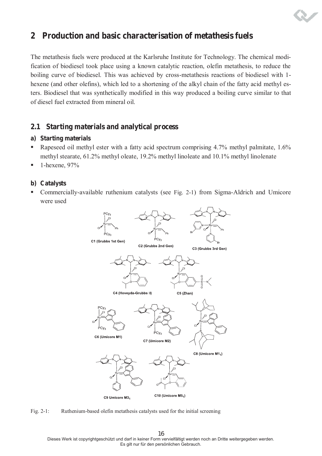

## **2 Production and basic characterisation of metathesis fuels**

The metathesis fuels were produced at the Karlsruhe Institute for Technology. The chemical modification of biodiesel took place using a known catalytic reaction, olefin metathesis, to reduce the boiling curve of biodiesel. This was achieved by cross-metathesis reactions of biodiesel with 1 hexene (and other olefins), which led to a shortening of the alkyl chain of the fatty acid methyl esters. Biodiesel that was synthetically modified in this way produced a boiling curve similar to that of diesel fuel extracted from mineral oil.

### **2.1 Starting materials and analytical process**

### **a) Starting materials**

- Rapeseed oil methyl ester with a fatty acid spectrum comprising 4.7% methyl palmitate, 1.6% methyl stearate, 61.2% methyl oleate, 19.2% methyl linoleate and 10.1% methyl linolenate
- $\blacksquare$  1-hexene, 97%

### **b) Catalysts**

 Commercially-available ruthenium catalysts (see Fig. 2-1) from Sigma-Aldrich and Umicore were used



Fig. 2-1: Ruthenium-based olefin metathesis catalysts used for the initial screening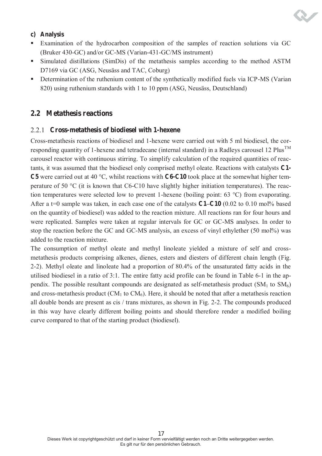

### **c) Analysis**

- Examination of the hydrocarbon composition of the samples of reaction solutions via GC (Bruker 430-GC) and/or GC-MS (Varian-431-GC/MS instrument)
- Simulated distillations (SimDis) of the metathesis samples according to the method ASTM D7169 via GC (ASG, Neusäss and TAC, Coburg)
- **•** Determination of the ruthenium content of the synthetically modified fuels via ICP-MS (Varian 820) using ruthenium standards with 1 to 10 ppm (ASG, Neusäss, Deutschland)

### **2.2 Metathesis reactions**

#### 2.2.1 **Cross-metathesis of biodiesel with 1-hexene**

Cross-metathesis reactions of biodiesel and 1-hexene were carried out with 5 ml biodiesel, the corresponding quantity of 1-hexene and tetradecane (internal standard) in a Radleys carousel 12 Plus<sup>TM</sup> carousel reactor with continuous stirring. To simplify calculation of the required quantities of reactants, it was assumed that the biodiesel only comprised methyl oleate. Reactions with catalysts **C1- C5** were carried out at 40 °C, whilst reactions with **C6-C10** took place at the somewhat higher temperature of 50 °C (it is known that C6-C10 have slightly higher initiation temperatures). The reaction temperatures were selected low to prevent 1-hexene (boiling point: 63 °C) from evaporating. After a t=0 sample was taken, in each case one of the catalysts **C1–C10** (0.02 to 0.10 mol% based on the quantity of biodiesel) was added to the reaction mixture. All reactions ran for four hours and were replicated. Samples were taken at regular intervals for GC or GC-MS analyses. In order to stop the reaction before the GC and GC-MS analysis, an excess of vinyl ethylether (50 mol%) was added to the reaction mixture.

The consumption of methyl oleate and methyl linoleate yielded a mixture of self and crossmetathesis products comprising alkenes, dienes, esters and diesters of different chain length (Fig. 2-2). Methyl oleate and linoleate had a proportion of 80.4% of the unsaturated fatty acids in the utilised biodiesel in a ratio of 3:1. The entire fatty acid profile can be found in Table 6-1 in the appendix. The possible resultant compounds are designated as self-metathesis product  $(SM_1$  to  $SM_6$ ) and cross-metathesis product ( $CM<sub>1</sub>$  to  $CM<sub>6</sub>$ ). Here, it should be noted that after a metathesis reaction all double bonds are present as cis / trans mixtures, as shown in Fig. 2-2. The compounds produced in this way have clearly different boiling points and should therefore render a modified boiling curve compared to that of the starting product (biodiesel).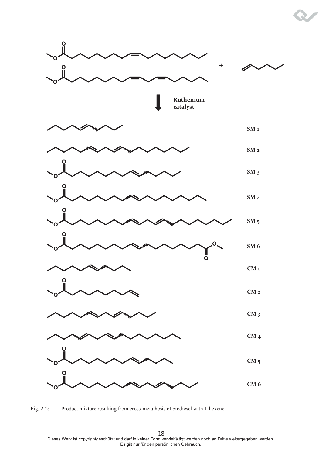

Fig. 2-2: Product mixture resulting from cross-metathesis of biodiesel with 1-hexene

ver 18 Dieses Werk ist copyrightgeschützt und darf in keiner Form vervielfältigt werden noch an Dritte weitergegeben werden. Es gilt nur für den persönlichen Gebrauch.